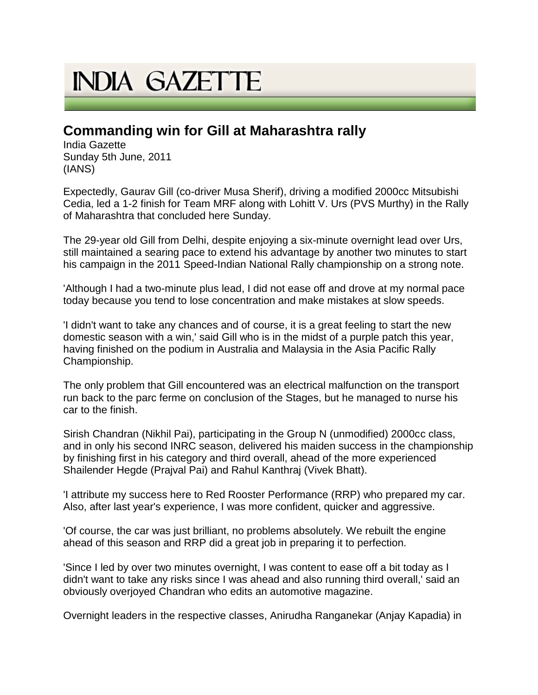## **INDIA GAZETTE**

## **Commanding win for Gill at Maharashtra rally**

India Gazette Sunday 5th June, 2011 (IANS)

Expectedly, Gaurav Gill (co-driver Musa Sherif), driving a modified 2000cc Mitsubishi Cedia, led a 1-2 finish for Team MRF along with Lohitt V. Urs (PVS Murthy) in the Rally of Maharashtra that concluded here Sunday.

The 29-year old Gill from Delhi, despite enjoying a six-minute overnight lead over Urs, still maintained a searing pace to extend his advantage by another two minutes to start his campaign in the 2011 Speed-Indian National Rally championship on a strong note.

'Although I had a two-minute plus lead, I did not ease off and drove at my normal pace today because you tend to lose concentration and make mistakes at slow speeds.

'I didn't want to take any chances and of course, it is a great feeling to start the new domestic season with a win,' said Gill who is in the midst of a purple patch this year, having finished on the podium in Australia and Malaysia in the Asia Pacific Rally Championship.

The only problem that Gill encountered was an electrical malfunction on the transport run back to the parc ferme on conclusion of the Stages, but he managed to nurse his car to the finish.

Sirish Chandran (Nikhil Pai), participating in the Group N (unmodified) 2000cc class, and in only his second INRC season, delivered his maiden success in the championship by finishing first in his category and third overall, ahead of the more experienced Shailender Hegde (Prajval Pai) and Rahul Kanthraj (Vivek Bhatt).

'I attribute my success here to Red Rooster Performance (RRP) who prepared my car. Also, after last year's experience, I was more confident, quicker and aggressive.

'Of course, the car was just brilliant, no problems absolutely. We rebuilt the engine ahead of this season and RRP did a great job in preparing it to perfection.

'Since I led by over two minutes overnight, I was content to ease off a bit today as I didn't want to take any risks since I was ahead and also running third overall,' said an obviously overjoyed Chandran who edits an automotive magazine.

Overnight leaders in the respective classes, Anirudha Ranganekar (Anjay Kapadia) in